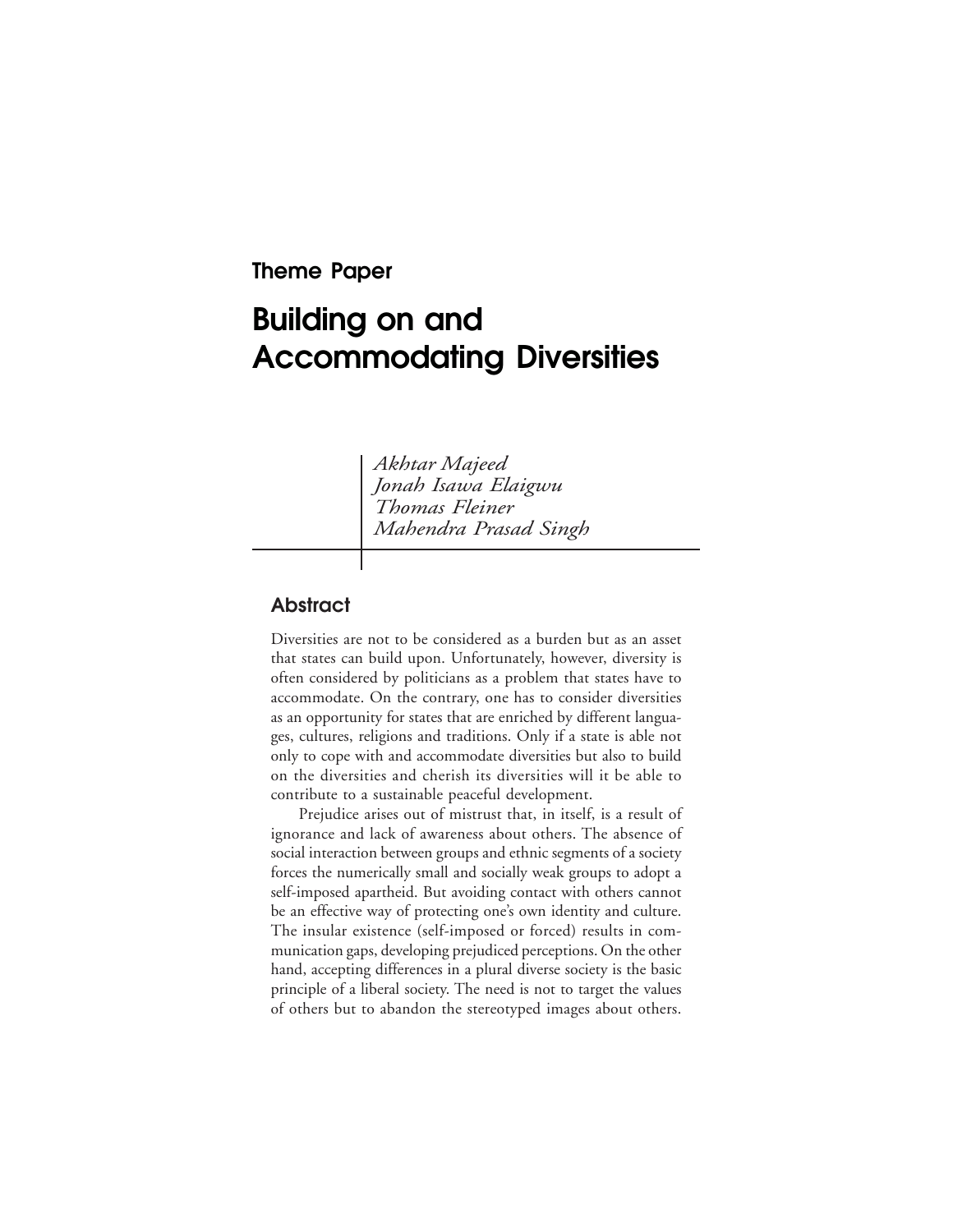# **Theme Paper**

# **Building on and Accommodating Diversities**

*Akhtar Majeed Jonah Isawa Elaigwu Thomas Fleiner Mahendra Prasad Singh*

## **Abstract**

Diversities are not to be considered as a burden but as an asset that states can build upon. Unfortunately, however, diversity is often considered by politicians as a problem that states have to accommodate. On the contrary, one has to consider diversities as an opportunity for states that are enriched by different languages, cultures, religions and traditions. Only if a state is able not only to cope with and accommodate diversities but also to build on the diversities and cherish its diversities will it be able to contribute to a sustainable peaceful development.

Prejudice arises out of mistrust that, in itself, is a result of ignorance and lack of awareness about others. The absence of social interaction between groups and ethnic segments of a society forces the numerically small and socially weak groups to adopt a self-imposed apartheid. But avoiding contact with others cannot be an effective way of protecting one's own identity and culture. The insular existence (self-imposed or forced) results in communication gaps, developing prejudiced perceptions. On the other hand, accepting differences in a plural diverse society is the basic principle of a liberal society. The need is not to target the values of others but to abandon the stereotyped images about others.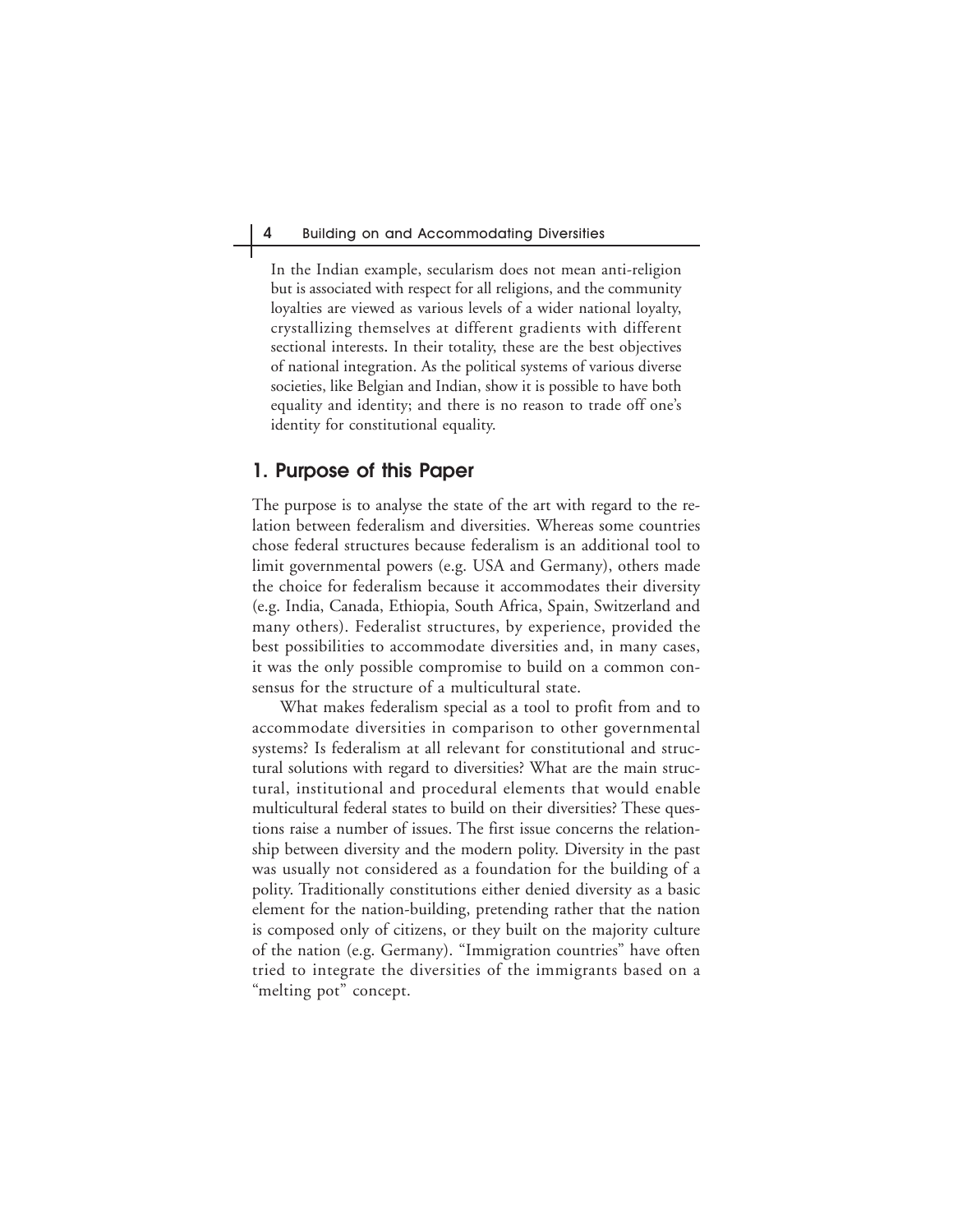In the Indian example, secularism does not mean anti-religion but is associated with respect for all religions, and the community loyalties are viewed as various levels of a wider national loyalty, crystallizing themselves at different gradients with different sectional interests**.** In their totality, these are the best objectives of national integration. As the political systems of various diverse societies, like Belgian and Indian, show it is possible to have both equality and identity; and there is no reason to trade off one's identity for constitutional equality.

## **1. Purpose of this Paper**

The purpose is to analyse the state of the art with regard to the relation between federalism and diversities. Whereas some countries chose federal structures because federalism is an additional tool to limit governmental powers (e.g. USA and Germany), others made the choice for federalism because it accommodates their diversity (e.g. India, Canada, Ethiopia, South Africa, Spain, Switzerland and many others). Federalist structures, by experience, provided the best possibilities to accommodate diversities and, in many cases, it was the only possible compromise to build on a common consensus for the structure of a multicultural state.

What makes federalism special as a tool to profit from and to accommodate diversities in comparison to other governmental systems? Is federalism at all relevant for constitutional and structural solutions with regard to diversities? What are the main structural, institutional and procedural elements that would enable multicultural federal states to build on their diversities? These questions raise a number of issues. The first issue concerns the relationship between diversity and the modern polity. Diversity in the past was usually not considered as a foundation for the building of a polity. Traditionally constitutions either denied diversity as a basic element for the nation-building, pretending rather that the nation is composed only of citizens, or they built on the majority culture of the nation (e.g. Germany). "Immigration countries" have often tried to integrate the diversities of the immigrants based on a "melting pot" concept.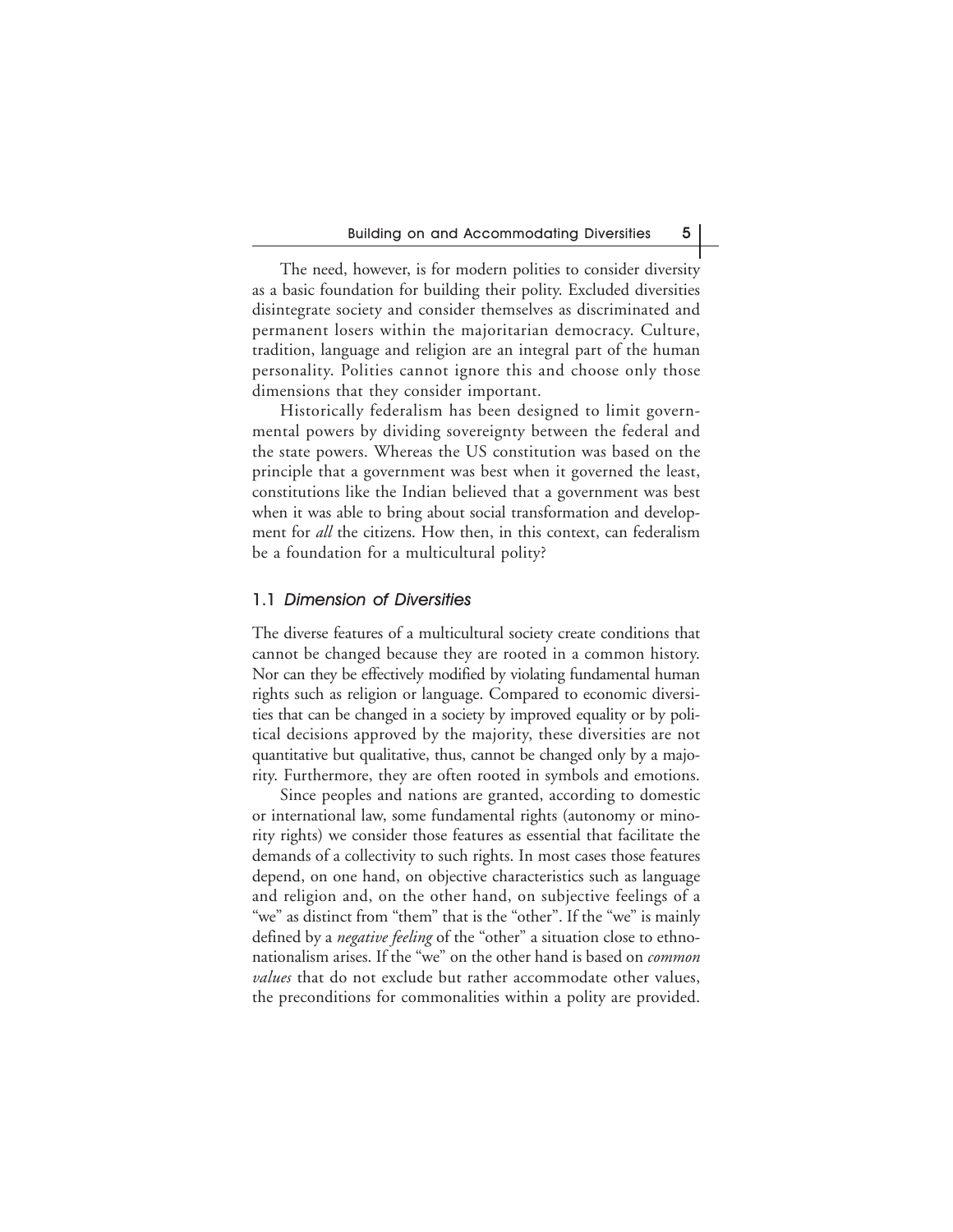The need, however, is for modern polities to consider diversity as a basic foundation for building their polity. Excluded diversities disintegrate society and consider themselves as discriminated and permanent losers within the majoritarian democracy. Culture, tradition, language and religion are an integral part of the human personality. Polities cannot ignore this and choose only those dimensions that they consider important.

Historically federalism has been designed to limit governmental powers by dividing sovereignty between the federal and the state powers. Whereas the US constitution was based on the principle that a government was best when it governed the least, constitutions like the Indian believed that a government was best when it was able to bring about social transformation and development for *all* the citizens. How then, in this context, can federalism be a foundation for a multicultural polity?

#### 1.1 Dimension of Diversities

The diverse features of a multicultural society create conditions that cannot be changed because they are rooted in a common history. Nor can they be effectively modified by violating fundamental human rights such as religion or language. Compared to economic diversities that can be changed in a society by improved equality or by political decisions approved by the majority, these diversities are not quantitative but qualitative, thus, cannot be changed only by a majority. Furthermore, they are often rooted in symbols and emotions.

Since peoples and nations are granted, according to domestic or international law, some fundamental rights (autonomy or minority rights) we consider those features as essential that facilitate the demands of a collectivity to such rights. In most cases those features depend, on one hand, on objective characteristics such as language and religion and, on the other hand, on subjective feelings of a "we" as distinct from "them" that is the "other". If the "we" is mainly defined by a *negative feeling* of the "other" a situation close to ethnonationalism arises. If the "we" on the other hand is based on *common values* that do not exclude but rather accommodate other values, the preconditions for commonalities within a polity are provided.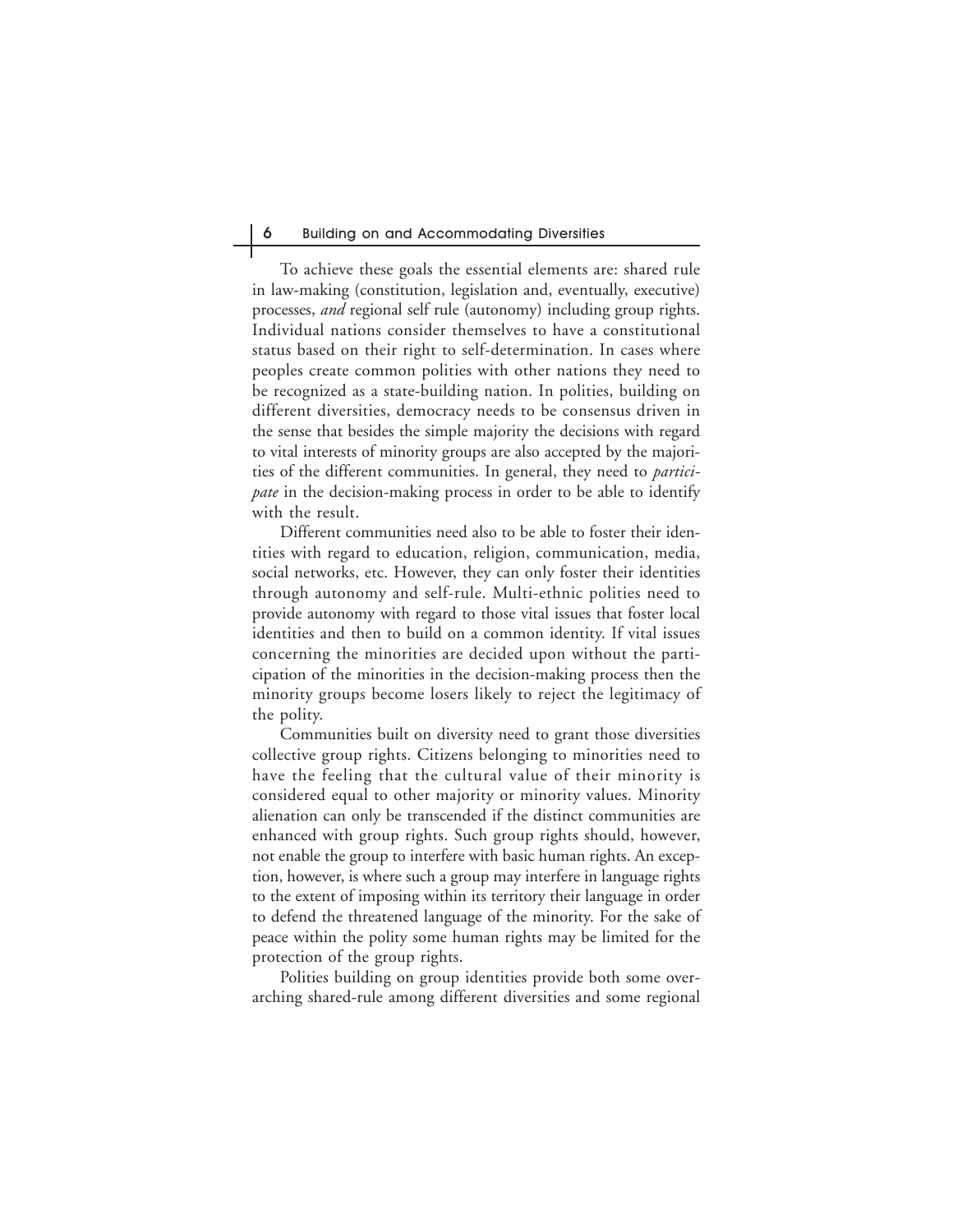#### 6 Building on and Accommodating Diversities

To achieve these goals the essential elements are: shared rule in law-making (constitution, legislation and, eventually, executive) processes, *and* regional self rule (autonomy) including group rights. Individual nations consider themselves to have a constitutional status based on their right to self-determination. In cases where peoples create common polities with other nations they need to be recognized as a state-building nation. In polities, building on different diversities, democracy needs to be consensus driven in the sense that besides the simple majority the decisions with regard to vital interests of minority groups are also accepted by the majorities of the different communities. In general, they need to *participate* in the decision-making process in order to be able to identify with the result.

Different communities need also to be able to foster their identities with regard to education, religion, communication, media, social networks, etc. However, they can only foster their identities through autonomy and self-rule. Multi-ethnic polities need to provide autonomy with regard to those vital issues that foster local identities and then to build on a common identity. If vital issues concerning the minorities are decided upon without the participation of the minorities in the decision-making process then the minority groups become losers likely to reject the legitimacy of the polity.

Communities built on diversity need to grant those diversities collective group rights. Citizens belonging to minorities need to have the feeling that the cultural value of their minority is considered equal to other majority or minority values. Minority alienation can only be transcended if the distinct communities are enhanced with group rights. Such group rights should, however, not enable the group to interfere with basic human rights. An exception, however, is where such a group may interfere in language rights to the extent of imposing within its territory their language in order to defend the threatened language of the minority. For the sake of peace within the polity some human rights may be limited for the protection of the group rights.

Polities building on group identities provide both some overarching shared-rule among different diversities and some regional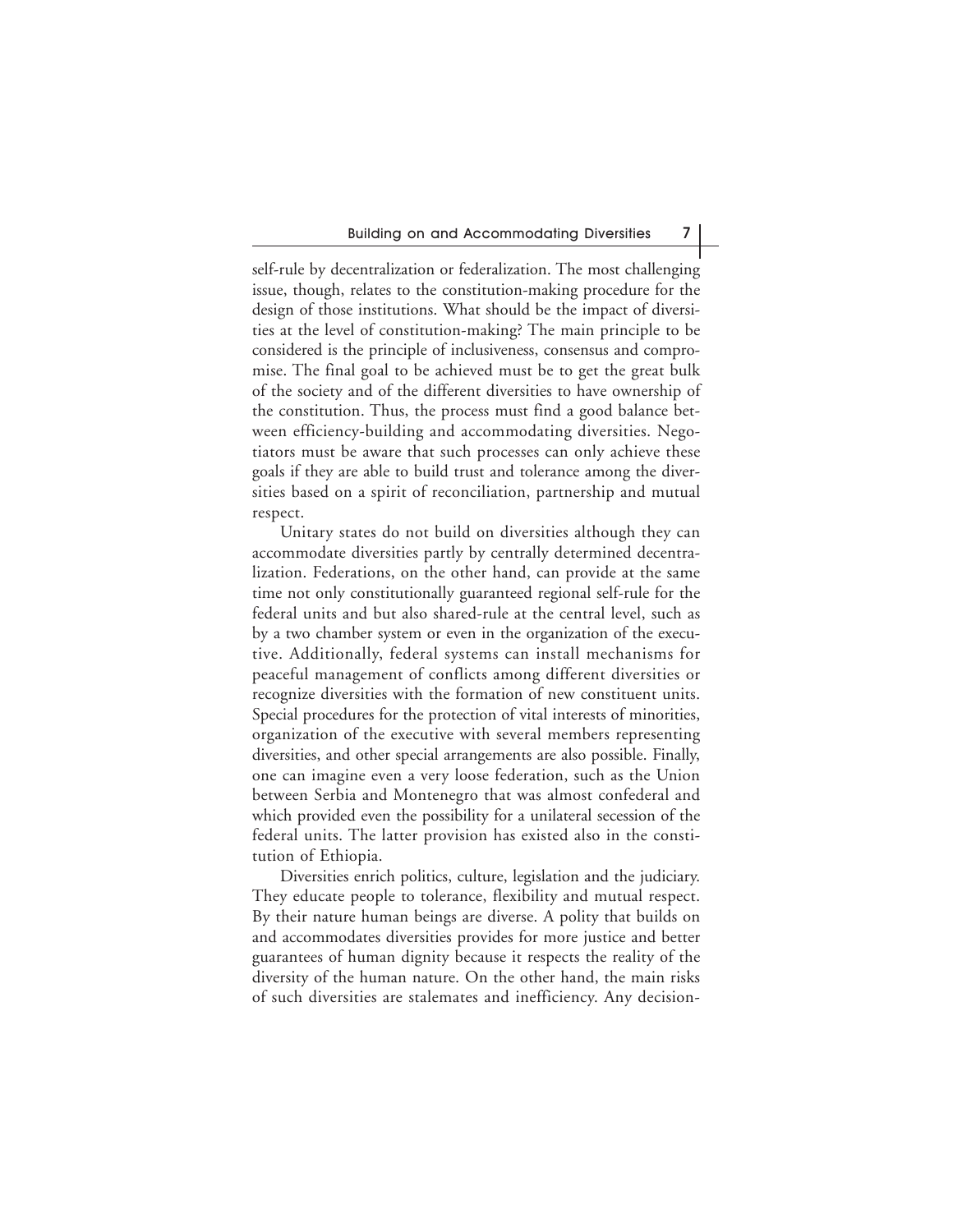self-rule by decentralization or federalization. The most challenging issue, though, relates to the constitution-making procedure for the design of those institutions. What should be the impact of diversities at the level of constitution-making? The main principle to be considered is the principle of inclusiveness, consensus and compromise. The final goal to be achieved must be to get the great bulk of the society and of the different diversities to have ownership of the constitution. Thus, the process must find a good balance between efficiency-building and accommodating diversities. Negotiators must be aware that such processes can only achieve these goals if they are able to build trust and tolerance among the diversities based on a spirit of reconciliation, partnership and mutual respect.

Unitary states do not build on diversities although they can accommodate diversities partly by centrally determined decentralization. Federations, on the other hand, can provide at the same time not only constitutionally guaranteed regional self-rule for the federal units and but also shared-rule at the central level, such as by a two chamber system or even in the organization of the executive. Additionally, federal systems can install mechanisms for peaceful management of conflicts among different diversities or recognize diversities with the formation of new constituent units. Special procedures for the protection of vital interests of minorities, organization of the executive with several members representing diversities, and other special arrangements are also possible. Finally, one can imagine even a very loose federation, such as the Union between Serbia and Montenegro that was almost confederal and which provided even the possibility for a unilateral secession of the federal units. The latter provision has existed also in the constitution of Ethiopia.

Diversities enrich politics, culture, legislation and the judiciary. They educate people to tolerance, flexibility and mutual respect. By their nature human beings are diverse. A polity that builds on and accommodates diversities provides for more justice and better guarantees of human dignity because it respects the reality of the diversity of the human nature. On the other hand, the main risks of such diversities are stalemates and inefficiency. Any decision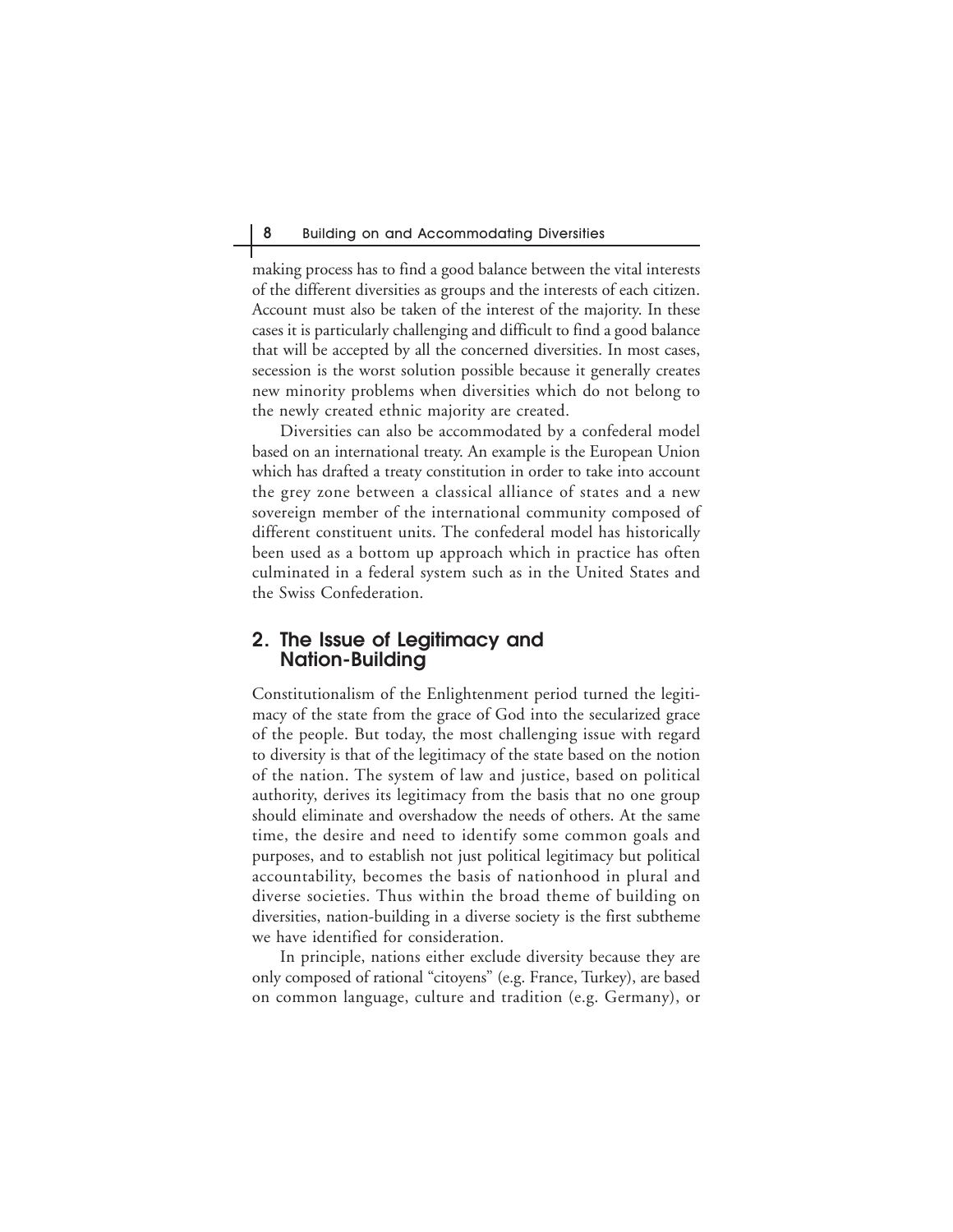making process has to find a good balance between the vital interests of the different diversities as groups and the interests of each citizen. Account must also be taken of the interest of the majority. In these cases it is particularly challenging and difficult to find a good balance that will be accepted by all the concerned diversities. In most cases, secession is the worst solution possible because it generally creates new minority problems when diversities which do not belong to the newly created ethnic majority are created.

Diversities can also be accommodated by a confederal model based on an international treaty. An example is the European Union which has drafted a treaty constitution in order to take into account the grey zone between a classical alliance of states and a new sovereign member of the international community composed of different constituent units. The confederal model has historically been used as a bottom up approach which in practice has often culminated in a federal system such as in the United States and the Swiss Confederation.

## **2. The Issue of Legitimacy and Nation-Building**

Constitutionalism of the Enlightenment period turned the legitimacy of the state from the grace of God into the secularized grace of the people. But today, the most challenging issue with regard to diversity is that of the legitimacy of the state based on the notion of the nation. The system of law and justice, based on political authority, derives its legitimacy from the basis that no one group should eliminate and overshadow the needs of others. At the same time, the desire and need to identify some common goals and purposes, and to establish not just political legitimacy but political accountability, becomes the basis of nationhood in plural and diverse societies. Thus within the broad theme of building on diversities, nation-building in a diverse society is the first subtheme we have identified for consideration.

In principle, nations either exclude diversity because they are only composed of rational "citoyens" (e.g. France, Turkey), are based on common language, culture and tradition (e.g. Germany), or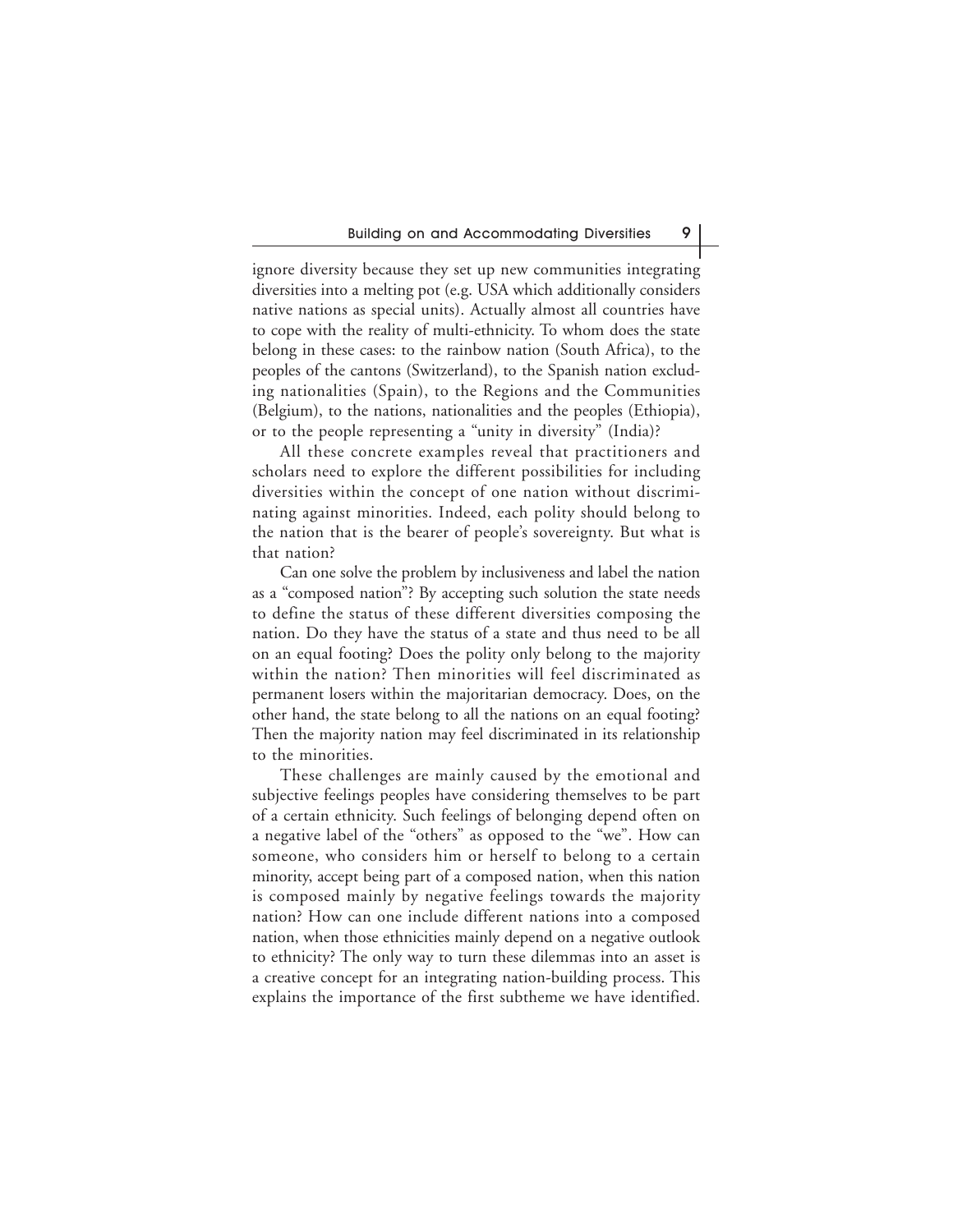ignore diversity because they set up new communities integrating diversities into a melting pot (e.g. USA which additionally considers native nations as special units). Actually almost all countries have to cope with the reality of multi-ethnicity. To whom does the state belong in these cases: to the rainbow nation (South Africa), to the peoples of the cantons (Switzerland), to the Spanish nation excluding nationalities (Spain), to the Regions and the Communities (Belgium), to the nations, nationalities and the peoples (Ethiopia), or to the people representing a "unity in diversity" (India)?

All these concrete examples reveal that practitioners and scholars need to explore the different possibilities for including diversities within the concept of one nation without discriminating against minorities. Indeed, each polity should belong to the nation that is the bearer of people's sovereignty. But what is that nation?

Can one solve the problem by inclusiveness and label the nation as a "composed nation"? By accepting such solution the state needs to define the status of these different diversities composing the nation. Do they have the status of a state and thus need to be all on an equal footing? Does the polity only belong to the majority within the nation? Then minorities will feel discriminated as permanent losers within the majoritarian democracy. Does, on the other hand, the state belong to all the nations on an equal footing? Then the majority nation may feel discriminated in its relationship to the minorities.

These challenges are mainly caused by the emotional and subjective feelings peoples have considering themselves to be part of a certain ethnicity. Such feelings of belonging depend often on a negative label of the "others" as opposed to the "we". How can someone, who considers him or herself to belong to a certain minority, accept being part of a composed nation, when this nation is composed mainly by negative feelings towards the majority nation? How can one include different nations into a composed nation, when those ethnicities mainly depend on a negative outlook to ethnicity? The only way to turn these dilemmas into an asset is a creative concept for an integrating nation-building process. This explains the importance of the first subtheme we have identified.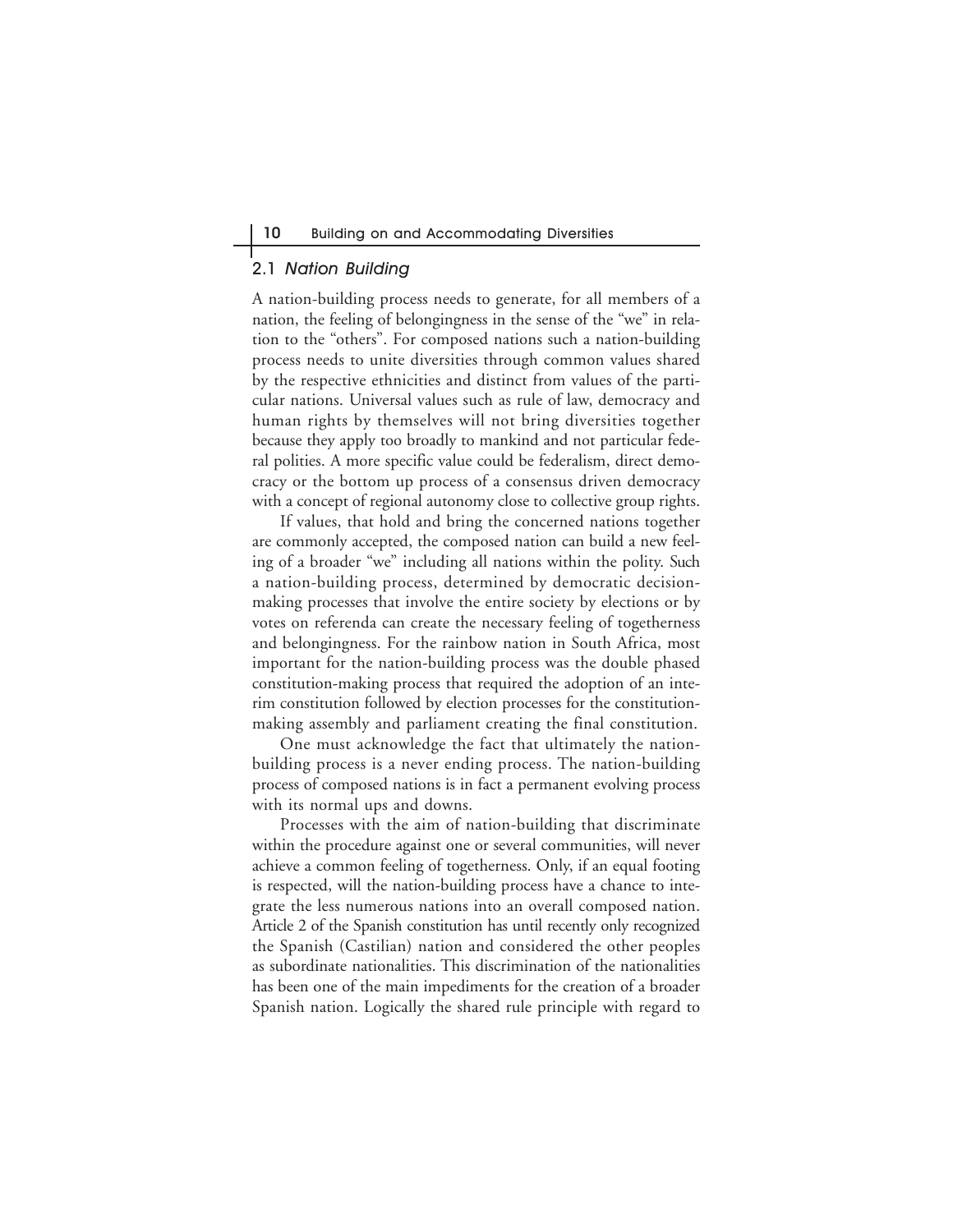## 2.1 Nation Building

A nation-building process needs to generate, for all members of a nation, the feeling of belongingness in the sense of the "we" in relation to the "others". For composed nations such a nation-building process needs to unite diversities through common values shared by the respective ethnicities and distinct from values of the particular nations. Universal values such as rule of law, democracy and human rights by themselves will not bring diversities together because they apply too broadly to mankind and not particular federal polities. A more specific value could be federalism, direct democracy or the bottom up process of a consensus driven democracy with a concept of regional autonomy close to collective group rights.

If values, that hold and bring the concerned nations together are commonly accepted, the composed nation can build a new feeling of a broader "we" including all nations within the polity. Such a nation-building process, determined by democratic decisionmaking processes that involve the entire society by elections or by votes on referenda can create the necessary feeling of togetherness and belongingness. For the rainbow nation in South Africa, most important for the nation-building process was the double phased constitution-making process that required the adoption of an interim constitution followed by election processes for the constitutionmaking assembly and parliament creating the final constitution.

One must acknowledge the fact that ultimately the nationbuilding process is a never ending process. The nation-building process of composed nations is in fact a permanent evolving process with its normal ups and downs.

Processes with the aim of nation-building that discriminate within the procedure against one or several communities, will never achieve a common feeling of togetherness. Only, if an equal footing is respected, will the nation-building process have a chance to integrate the less numerous nations into an overall composed nation. Article 2 of the Spanish constitution has until recently only recognized the Spanish (Castilian) nation and considered the other peoples as subordinate nationalities. This discrimination of the nationalities has been one of the main impediments for the creation of a broader Spanish nation. Logically the shared rule principle with regard to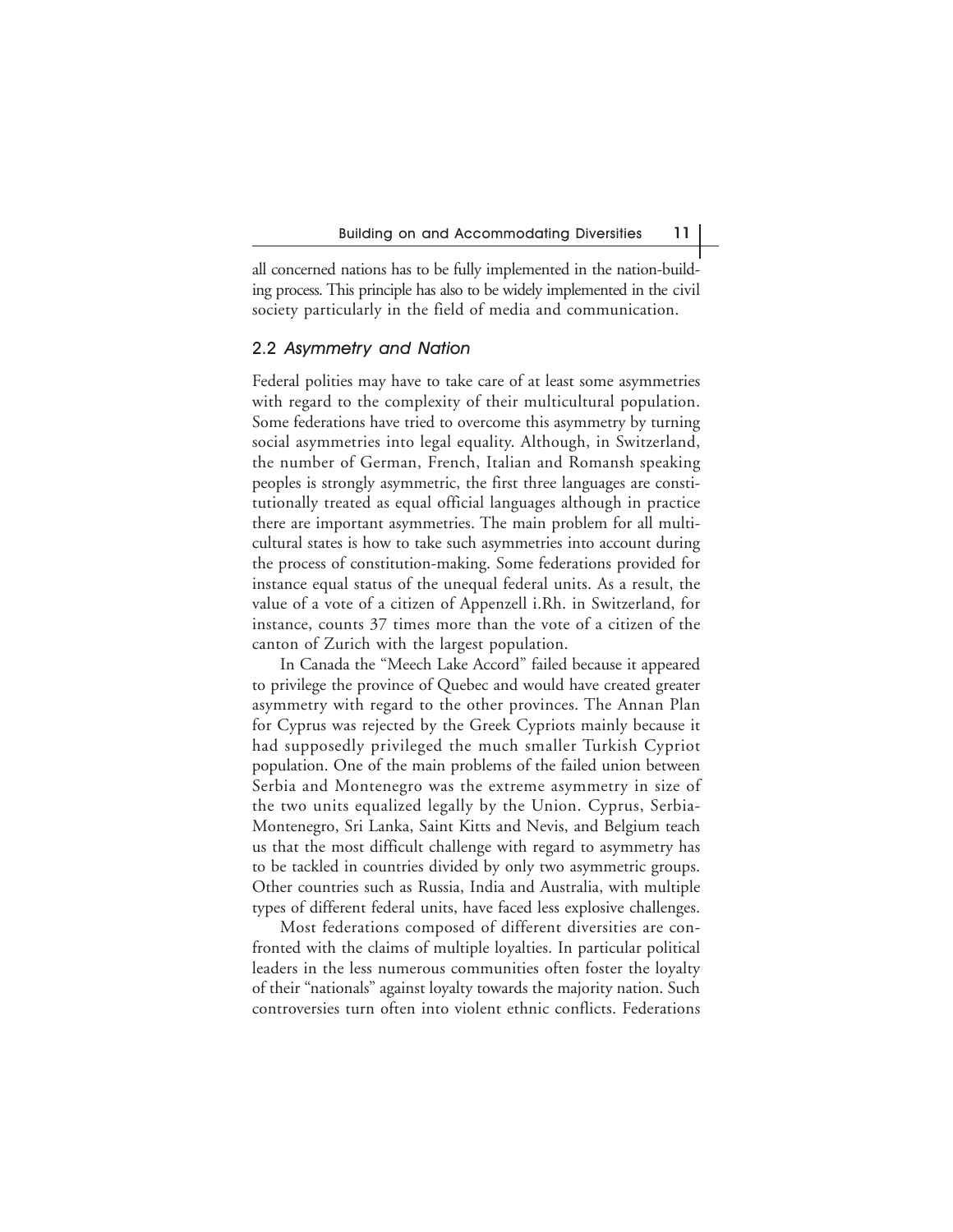all concerned nations has to be fully implemented in the nation-building process. This principle has also to be widely implemented in the civil society particularly in the field of media and communication.

#### 2.2 Asymmetry and Nation

Federal polities may have to take care of at least some asymmetries with regard to the complexity of their multicultural population. Some federations have tried to overcome this asymmetry by turning social asymmetries into legal equality. Although, in Switzerland, the number of German, French, Italian and Romansh speaking peoples is strongly asymmetric, the first three languages are constitutionally treated as equal official languages although in practice there are important asymmetries. The main problem for all multicultural states is how to take such asymmetries into account during the process of constitution-making. Some federations provided for instance equal status of the unequal federal units. As a result, the value of a vote of a citizen of Appenzell i.Rh. in Switzerland, for instance, counts 37 times more than the vote of a citizen of the canton of Zurich with the largest population.

In Canada the "Meech Lake Accord" failed because it appeared to privilege the province of Quebec and would have created greater asymmetry with regard to the other provinces. The Annan Plan for Cyprus was rejected by the Greek Cypriots mainly because it had supposedly privileged the much smaller Turkish Cypriot population. One of the main problems of the failed union between Serbia and Montenegro was the extreme asymmetry in size of the two units equalized legally by the Union. Cyprus, Serbia-Montenegro, Sri Lanka, Saint Kitts and Nevis, and Belgium teach us that the most difficult challenge with regard to asymmetry has to be tackled in countries divided by only two asymmetric groups. Other countries such as Russia, India and Australia, with multiple types of different federal units, have faced less explosive challenges.

Most federations composed of different diversities are confronted with the claims of multiple loyalties. In particular political leaders in the less numerous communities often foster the loyalty of their "nationals" against loyalty towards the majority nation. Such controversies turn often into violent ethnic conflicts. Federations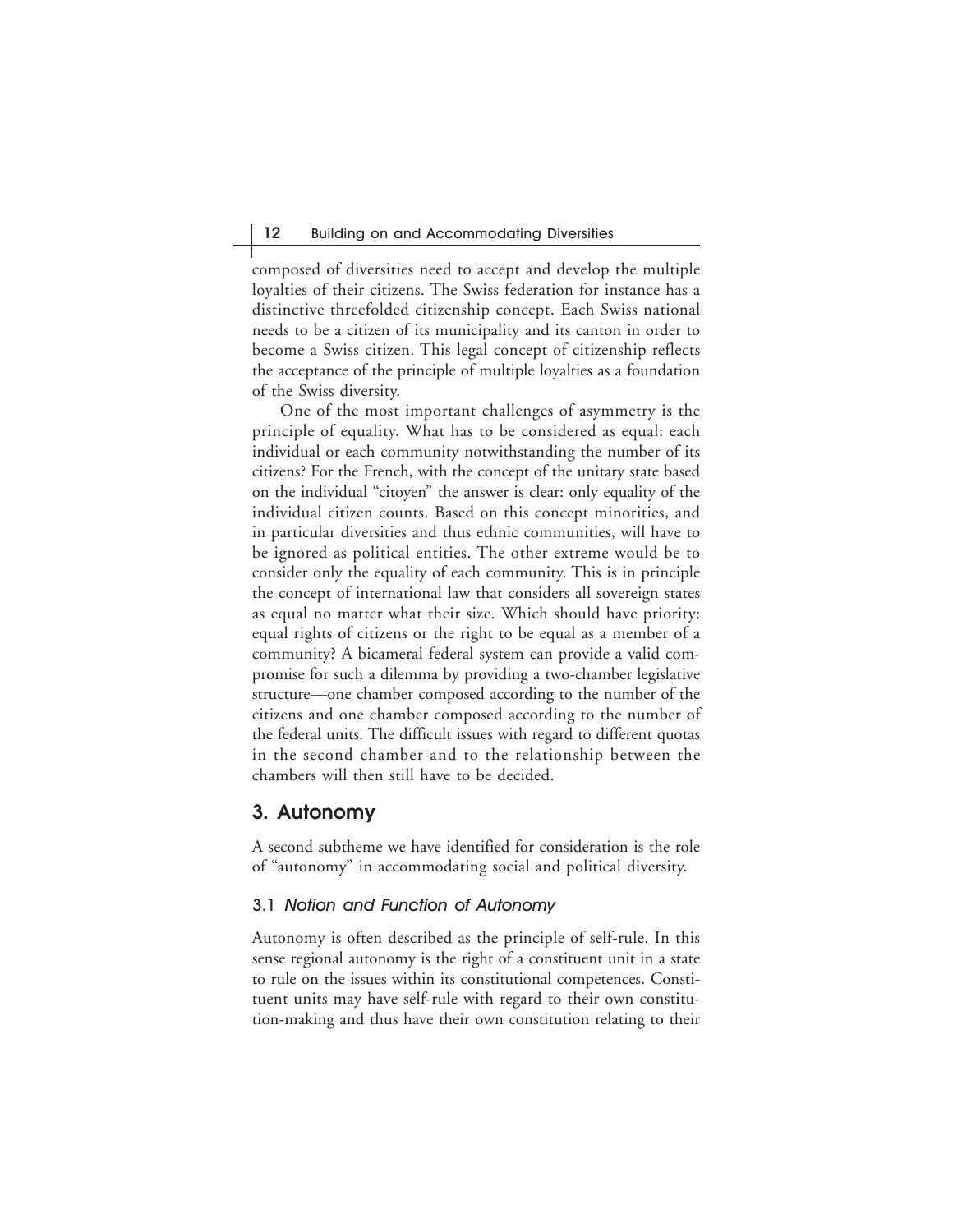composed of diversities need to accept and develop the multiple loyalties of their citizens. The Swiss federation for instance has a distinctive threefolded citizenship concept. Each Swiss national needs to be a citizen of its municipality and its canton in order to become a Swiss citizen. This legal concept of citizenship reflects the acceptance of the principle of multiple loyalties as a foundation of the Swiss diversity.

One of the most important challenges of asymmetry is the principle of equality. What has to be considered as equal: each individual or each community notwithstanding the number of its citizens? For the French, with the concept of the unitary state based on the individual "citoyen" the answer is clear: only equality of the individual citizen counts. Based on this concept minorities, and in particular diversities and thus ethnic communities, will have to be ignored as political entities. The other extreme would be to consider only the equality of each community. This is in principle the concept of international law that considers all sovereign states as equal no matter what their size. Which should have priority: equal rights of citizens or the right to be equal as a member of a community? A bicameral federal system can provide a valid compromise for such a dilemma by providing a two-chamber legislative structure—one chamber composed according to the number of the citizens and one chamber composed according to the number of the federal units. The difficult issues with regard to different quotas in the second chamber and to the relationship between the chambers will then still have to be decided.

## **3. Autonomy**

A second subtheme we have identified for consideration is the role of "autonomy" in accommodating social and political diversity.

### 3.1 Notion and Function of Autonomy

Autonomy is often described as the principle of self-rule. In this sense regional autonomy is the right of a constituent unit in a state to rule on the issues within its constitutional competences. Constituent units may have self-rule with regard to their own constitution-making and thus have their own constitution relating to their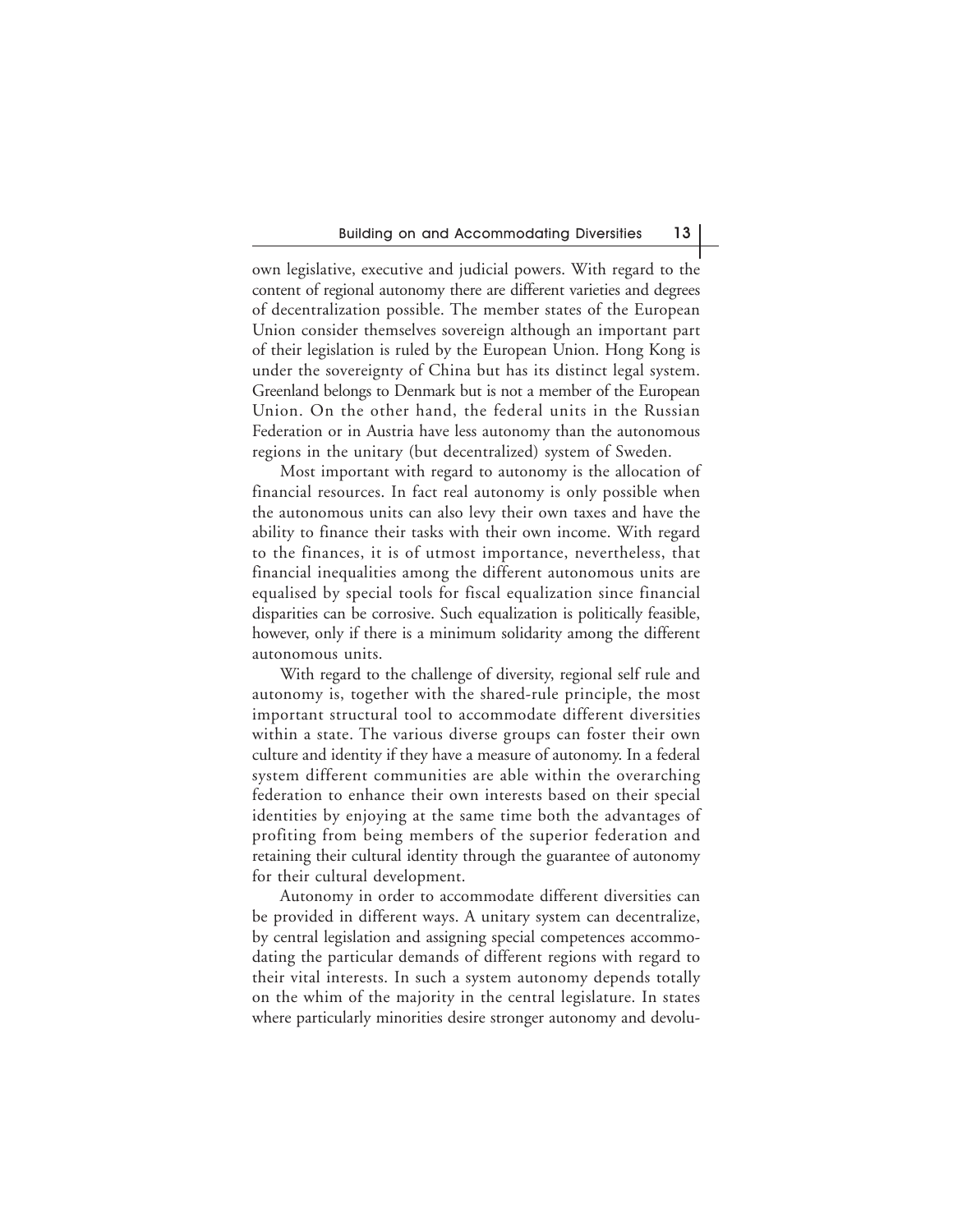own legislative, executive and judicial powers. With regard to the content of regional autonomy there are different varieties and degrees of decentralization possible. The member states of the European Union consider themselves sovereign although an important part of their legislation is ruled by the European Union. Hong Kong is under the sovereignty of China but has its distinct legal system. Greenland belongs to Denmark but is not a member of the European Union. On the other hand, the federal units in the Russian Federation or in Austria have less autonomy than the autonomous regions in the unitary (but decentralized) system of Sweden.

Most important with regard to autonomy is the allocation of financial resources. In fact real autonomy is only possible when the autonomous units can also levy their own taxes and have the ability to finance their tasks with their own income. With regard to the finances, it is of utmost importance, nevertheless, that financial inequalities among the different autonomous units are equalised by special tools for fiscal equalization since financial disparities can be corrosive. Such equalization is politically feasible, however, only if there is a minimum solidarity among the different autonomous units.

With regard to the challenge of diversity, regional self rule and autonomy is, together with the shared-rule principle, the most important structural tool to accommodate different diversities within a state. The various diverse groups can foster their own culture and identity if they have a measure of autonomy. In a federal system different communities are able within the overarching federation to enhance their own interests based on their special identities by enjoying at the same time both the advantages of profiting from being members of the superior federation and retaining their cultural identity through the guarantee of autonomy for their cultural development.

Autonomy in order to accommodate different diversities can be provided in different ways. A unitary system can decentralize, by central legislation and assigning special competences accommodating the particular demands of different regions with regard to their vital interests. In such a system autonomy depends totally on the whim of the majority in the central legislature. In states where particularly minorities desire stronger autonomy and devolu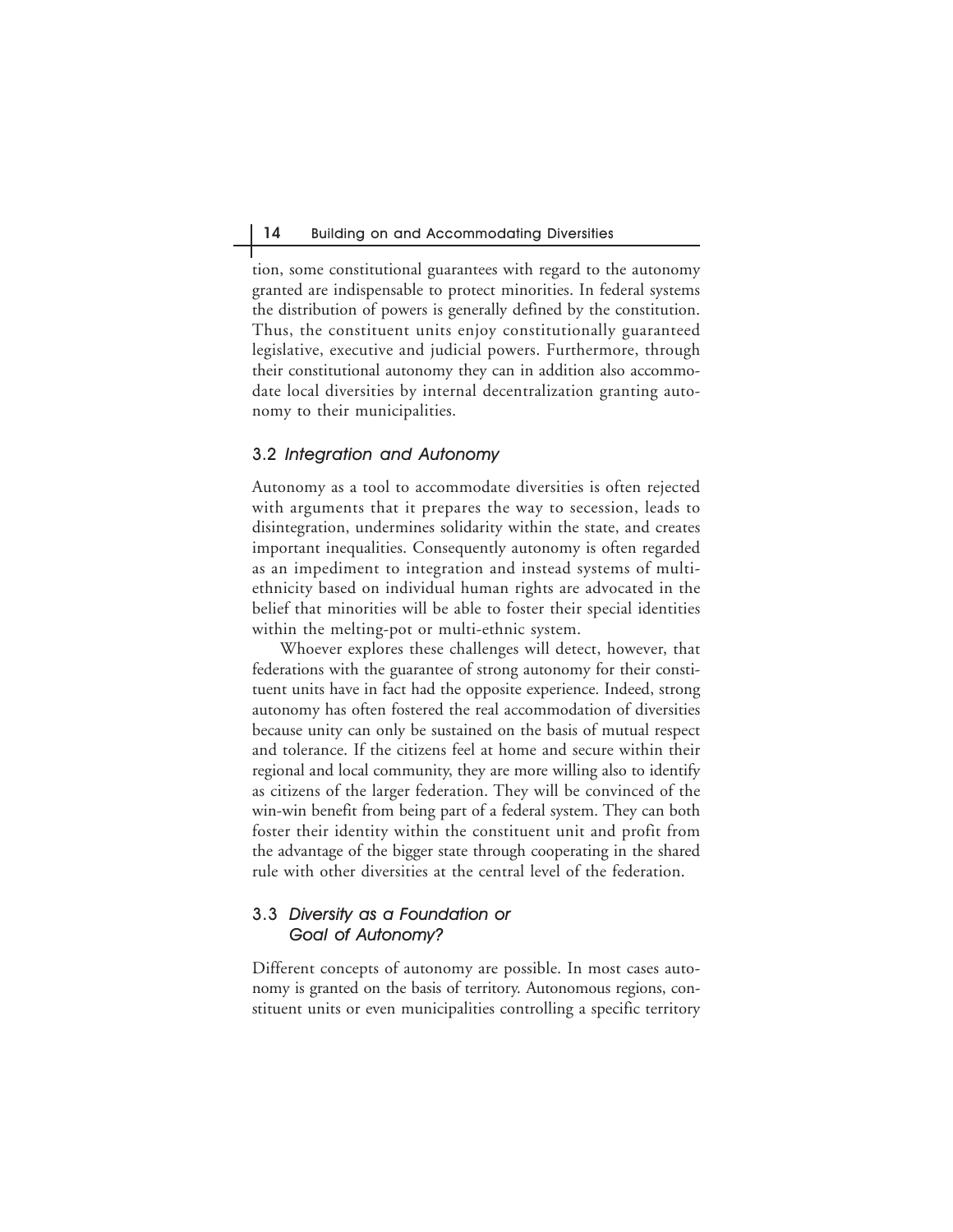tion, some constitutional guarantees with regard to the autonomy granted are indispensable to protect minorities. In federal systems the distribution of powers is generally defined by the constitution. Thus, the constituent units enjoy constitutionally guaranteed legislative, executive and judicial powers. Furthermore, through their constitutional autonomy they can in addition also accommodate local diversities by internal decentralization granting autonomy to their municipalities.

#### 3.2 Integration and Autonomy

Autonomy as a tool to accommodate diversities is often rejected with arguments that it prepares the way to secession, leads to disintegration, undermines solidarity within the state, and creates important inequalities. Consequently autonomy is often regarded as an impediment to integration and instead systems of multiethnicity based on individual human rights are advocated in the belief that minorities will be able to foster their special identities within the melting-pot or multi-ethnic system.

Whoever explores these challenges will detect, however, that federations with the guarantee of strong autonomy for their constituent units have in fact had the opposite experience. Indeed, strong autonomy has often fostered the real accommodation of diversities because unity can only be sustained on the basis of mutual respect and tolerance. If the citizens feel at home and secure within their regional and local community, they are more willing also to identify as citizens of the larger federation. They will be convinced of the win-win benefit from being part of a federal system. They can both foster their identity within the constituent unit and profit from the advantage of the bigger state through cooperating in the shared rule with other diversities at the central level of the federation.

## 3.3 Diversity as a Foundation or Goal of Autonomy?

Different concepts of autonomy are possible. In most cases autonomy is granted on the basis of territory. Autonomous regions, constituent units or even municipalities controlling a specific territory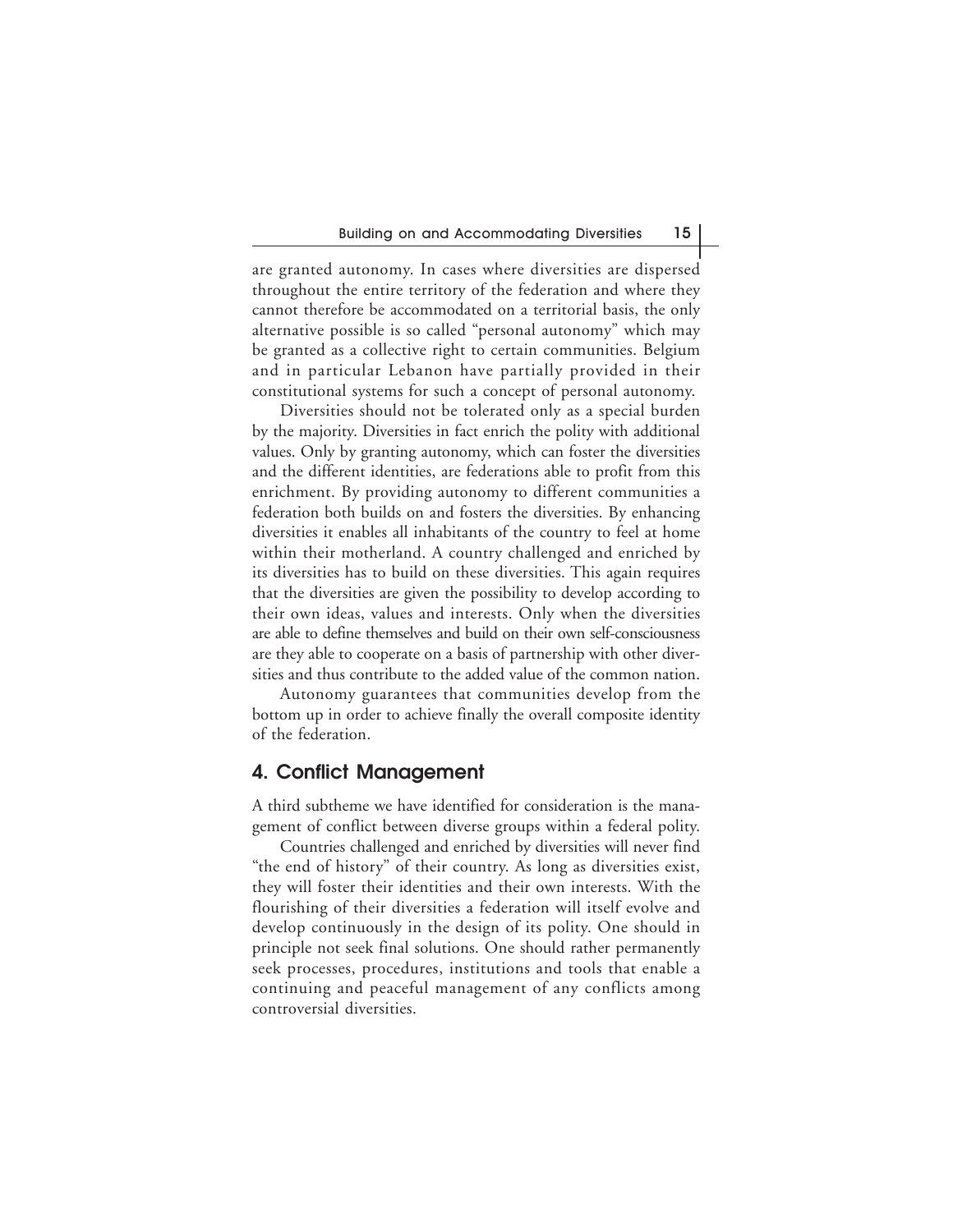are granted autonomy. In cases where diversities are dispersed throughout the entire territory of the federation and where they cannot therefore be accommodated on a territorial basis, the only alternative possible is so called "personal autonomy" which may be granted as a collective right to certain communities. Belgium and in particular Lebanon have partially provided in their constitutional systems for such a concept of personal autonomy.

Diversities should not be tolerated only as a special burden by the majority. Diversities in fact enrich the polity with additional values. Only by granting autonomy, which can foster the diversities and the different identities, are federations able to profit from this enrichment. By providing autonomy to different communities a federation both builds on and fosters the diversities. By enhancing diversities it enables all inhabitants of the country to feel at home within their motherland. A country challenged and enriched by its diversities has to build on these diversities. This again requires that the diversities are given the possibility to develop according to their own ideas, values and interests. Only when the diversities are able to define themselves and build on their own self-consciousness are they able to cooperate on a basis of partnership with other diversities and thus contribute to the added value of the common nation.

Autonomy guarantees that communities develop from the bottom up in order to achieve finally the overall composite identity of the federation.

## **4. Conflict Management**

A third subtheme we have identified for consideration is the management of conflict between diverse groups within a federal polity.

Countries challenged and enriched by diversities will never find "the end of history" of their country. As long as diversities exist, they will foster their identities and their own interests. With the flourishing of their diversities a federation will itself evolve and develop continuously in the design of its polity. One should in principle not seek final solutions. One should rather permanently seek processes, procedures, institutions and tools that enable a continuing and peaceful management of any conflicts among controversial diversities.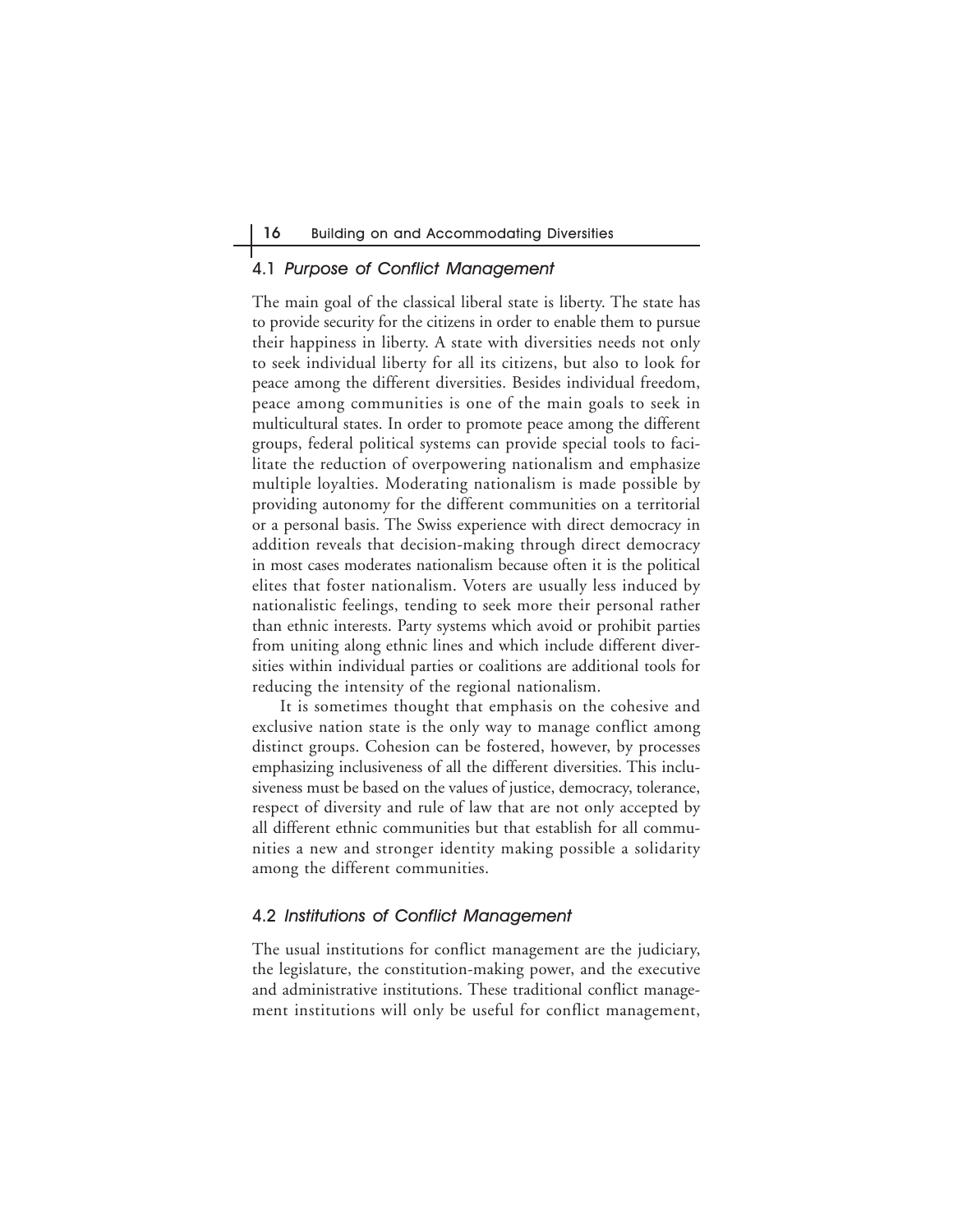#### 4.1 Purpose of Conflict Management

The main goal of the classical liberal state is liberty. The state has to provide security for the citizens in order to enable them to pursue their happiness in liberty. A state with diversities needs not only to seek individual liberty for all its citizens, but also to look for peace among the different diversities. Besides individual freedom, peace among communities is one of the main goals to seek in multicultural states. In order to promote peace among the different groups, federal political systems can provide special tools to facilitate the reduction of overpowering nationalism and emphasize multiple loyalties. Moderating nationalism is made possible by providing autonomy for the different communities on a territorial or a personal basis. The Swiss experience with direct democracy in addition reveals that decision-making through direct democracy in most cases moderates nationalism because often it is the political elites that foster nationalism. Voters are usually less induced by nationalistic feelings, tending to seek more their personal rather than ethnic interests. Party systems which avoid or prohibit parties from uniting along ethnic lines and which include different diversities within individual parties or coalitions are additional tools for reducing the intensity of the regional nationalism.

It is sometimes thought that emphasis on the cohesive and exclusive nation state is the only way to manage conflict among distinct groups. Cohesion can be fostered, however, by processes emphasizing inclusiveness of all the different diversities. This inclusiveness must be based on the values of justice, democracy, tolerance, respect of diversity and rule of law that are not only accepted by all different ethnic communities but that establish for all communities a new and stronger identity making possible a solidarity among the different communities.

#### 4.2 Institutions of Conflict Management

The usual institutions for conflict management are the judiciary, the legislature, the constitution-making power, and the executive and administrative institutions. These traditional conflict management institutions will only be useful for conflict management,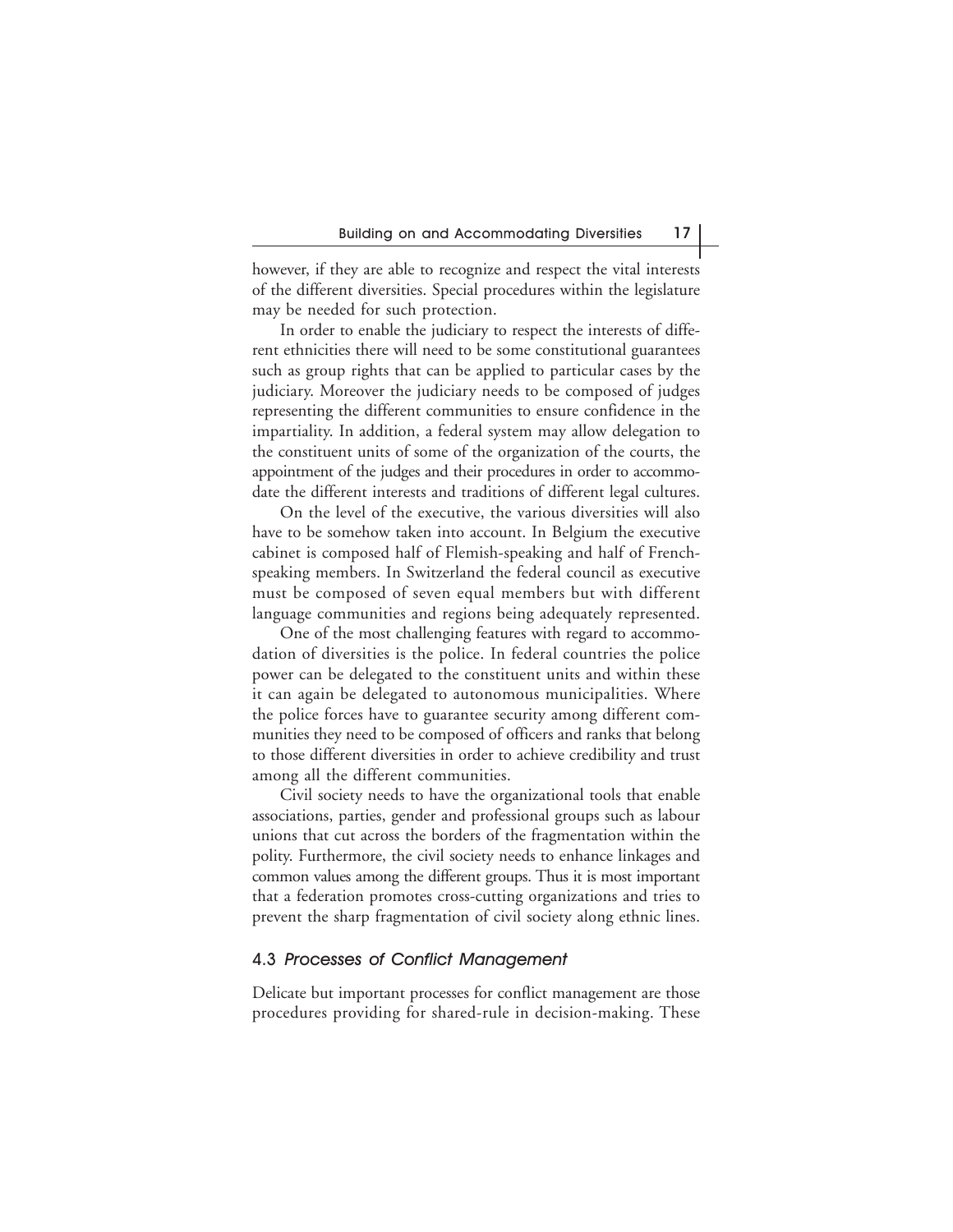however, if they are able to recognize and respect the vital interests of the different diversities. Special procedures within the legislature may be needed for such protection.

In order to enable the judiciary to respect the interests of different ethnicities there will need to be some constitutional guarantees such as group rights that can be applied to particular cases by the judiciary. Moreover the judiciary needs to be composed of judges representing the different communities to ensure confidence in the impartiality. In addition, a federal system may allow delegation to the constituent units of some of the organization of the courts, the appointment of the judges and their procedures in order to accommodate the different interests and traditions of different legal cultures.

On the level of the executive, the various diversities will also have to be somehow taken into account. In Belgium the executive cabinet is composed half of Flemish-speaking and half of Frenchspeaking members. In Switzerland the federal council as executive must be composed of seven equal members but with different language communities and regions being adequately represented.

One of the most challenging features with regard to accommodation of diversities is the police. In federal countries the police power can be delegated to the constituent units and within these it can again be delegated to autonomous municipalities. Where the police forces have to guarantee security among different communities they need to be composed of officers and ranks that belong to those different diversities in order to achieve credibility and trust among all the different communities.

Civil society needs to have the organizational tools that enable associations, parties, gender and professional groups such as labour unions that cut across the borders of the fragmentation within the polity. Furthermore, the civil society needs to enhance linkages and common values among the different groups. Thus it is most important that a federation promotes cross-cutting organizations and tries to prevent the sharp fragmentation of civil society along ethnic lines.

#### 4.3 Processes of Conflict Management

Delicate but important processes for conflict management are those procedures providing for shared-rule in decision-making. These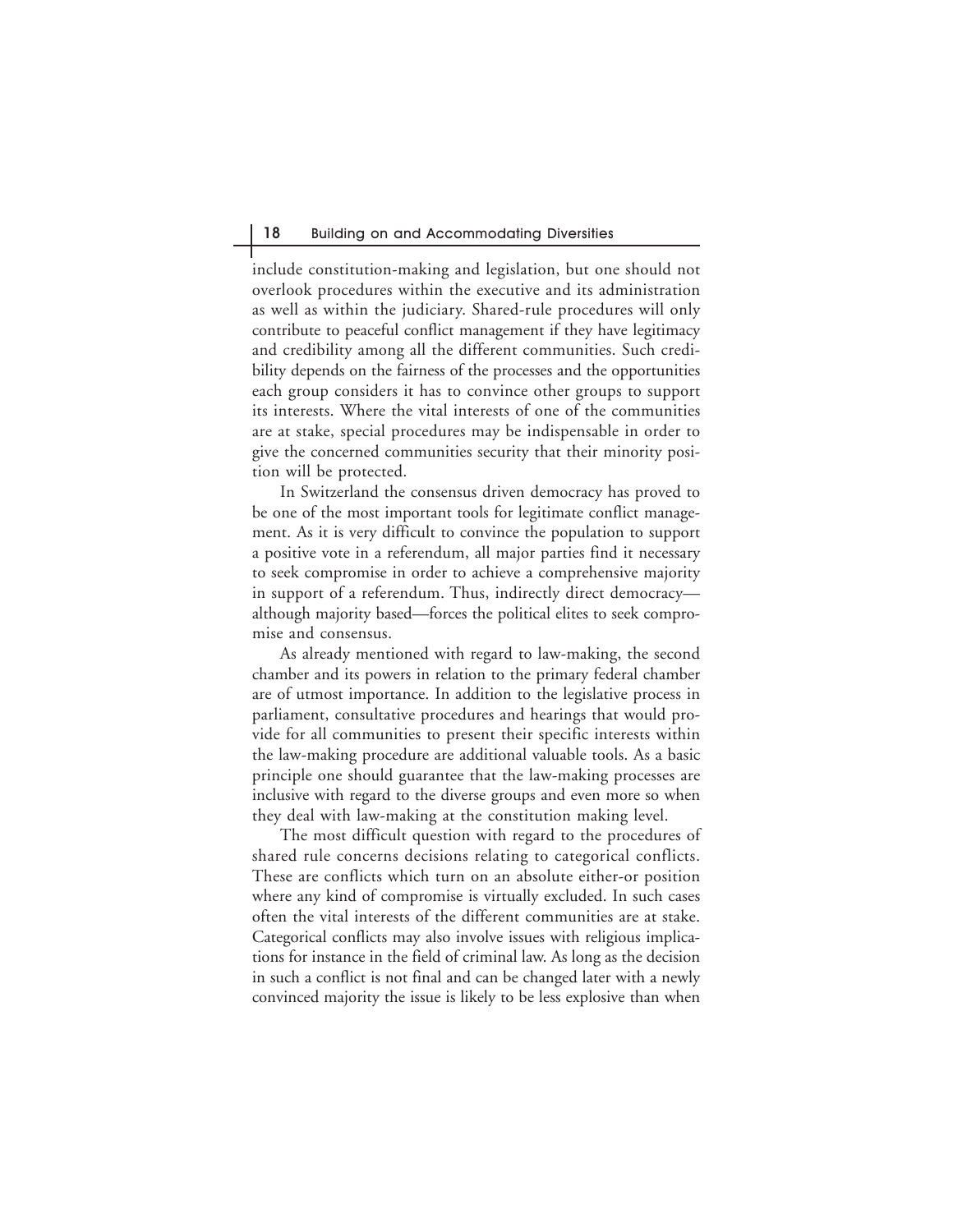include constitution-making and legislation, but one should not overlook procedures within the executive and its administration as well as within the judiciary. Shared-rule procedures will only contribute to peaceful conflict management if they have legitimacy and credibility among all the different communities. Such credibility depends on the fairness of the processes and the opportunities each group considers it has to convince other groups to support its interests. Where the vital interests of one of the communities are at stake, special procedures may be indispensable in order to give the concerned communities security that their minority position will be protected.

In Switzerland the consensus driven democracy has proved to be one of the most important tools for legitimate conflict management. As it is very difficult to convince the population to support a positive vote in a referendum, all major parties find it necessary to seek compromise in order to achieve a comprehensive majority in support of a referendum. Thus, indirectly direct democracy although majority based—forces the political elites to seek compromise and consensus.

As already mentioned with regard to law-making, the second chamber and its powers in relation to the primary federal chamber are of utmost importance. In addition to the legislative process in parliament, consultative procedures and hearings that would provide for all communities to present their specific interests within the law-making procedure are additional valuable tools. As a basic principle one should guarantee that the law-making processes are inclusive with regard to the diverse groups and even more so when they deal with law-making at the constitution making level.

The most difficult question with regard to the procedures of shared rule concerns decisions relating to categorical conflicts. These are conflicts which turn on an absolute either-or position where any kind of compromise is virtually excluded. In such cases often the vital interests of the different communities are at stake. Categorical conflicts may also involve issues with religious implications for instance in the field of criminal law. As long as the decision in such a conflict is not final and can be changed later with a newly convinced majority the issue is likely to be less explosive than when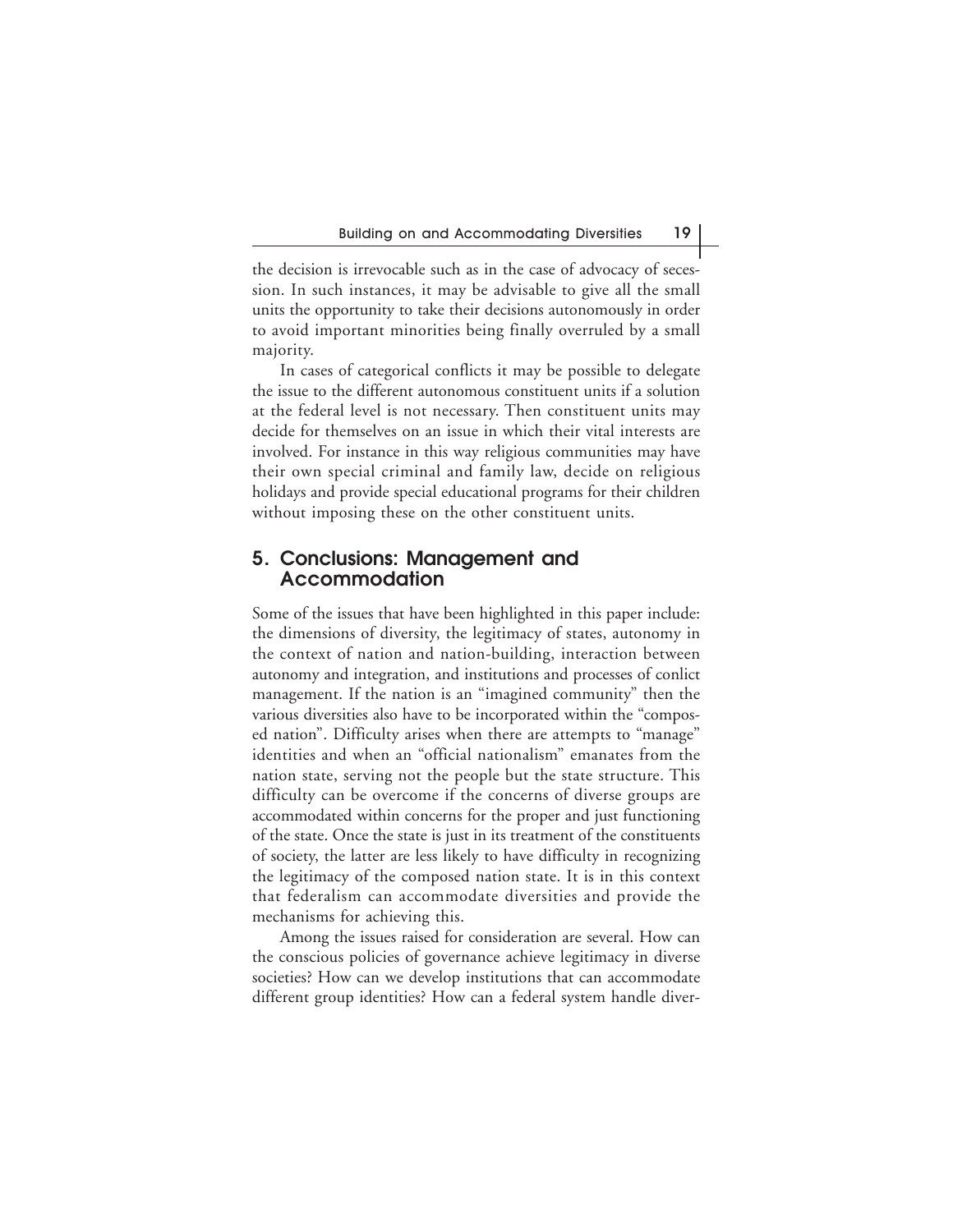the decision is irrevocable such as in the case of advocacy of secession. In such instances, it may be advisable to give all the small units the opportunity to take their decisions autonomously in order to avoid important minorities being finally overruled by a small majority.

In cases of categorical conflicts it may be possible to delegate the issue to the different autonomous constituent units if a solution at the federal level is not necessary. Then constituent units may decide for themselves on an issue in which their vital interests are involved. For instance in this way religious communities may have their own special criminal and family law, decide on religious holidays and provide special educational programs for their children without imposing these on the other constituent units.

## **5. Conclusions: Management and Accommodation**

Some of the issues that have been highlighted in this paper include: the dimensions of diversity, the legitimacy of states, autonomy in the context of nation and nation-building, interaction between autonomy and integration, and institutions and processes of conlict management. If the nation is an "imagined community" then the various diversities also have to be incorporated within the "composed nation". Difficulty arises when there are attempts to "manage" identities and when an "official nationalism" emanates from the nation state, serving not the people but the state structure. This difficulty can be overcome if the concerns of diverse groups are accommodated within concerns for the proper and just functioning of the state. Once the state is just in its treatment of the constituents of society, the latter are less likely to have difficulty in recognizing the legitimacy of the composed nation state. It is in this context that federalism can accommodate diversities and provide the mechanisms for achieving this.

Among the issues raised for consideration are several. How can the conscious policies of governance achieve legitimacy in diverse societies? How can we develop institutions that can accommodate different group identities? How can a federal system handle diver-